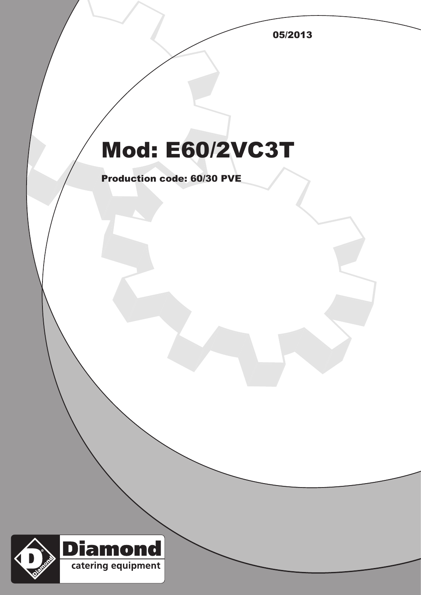05/2013

## Mod: E60/2VC3T

Production code: 60/30 PVE

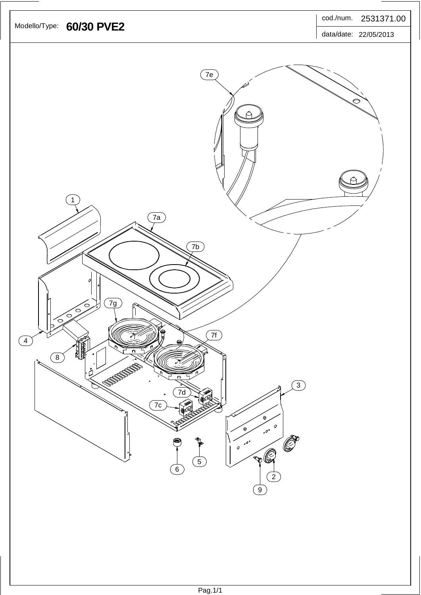